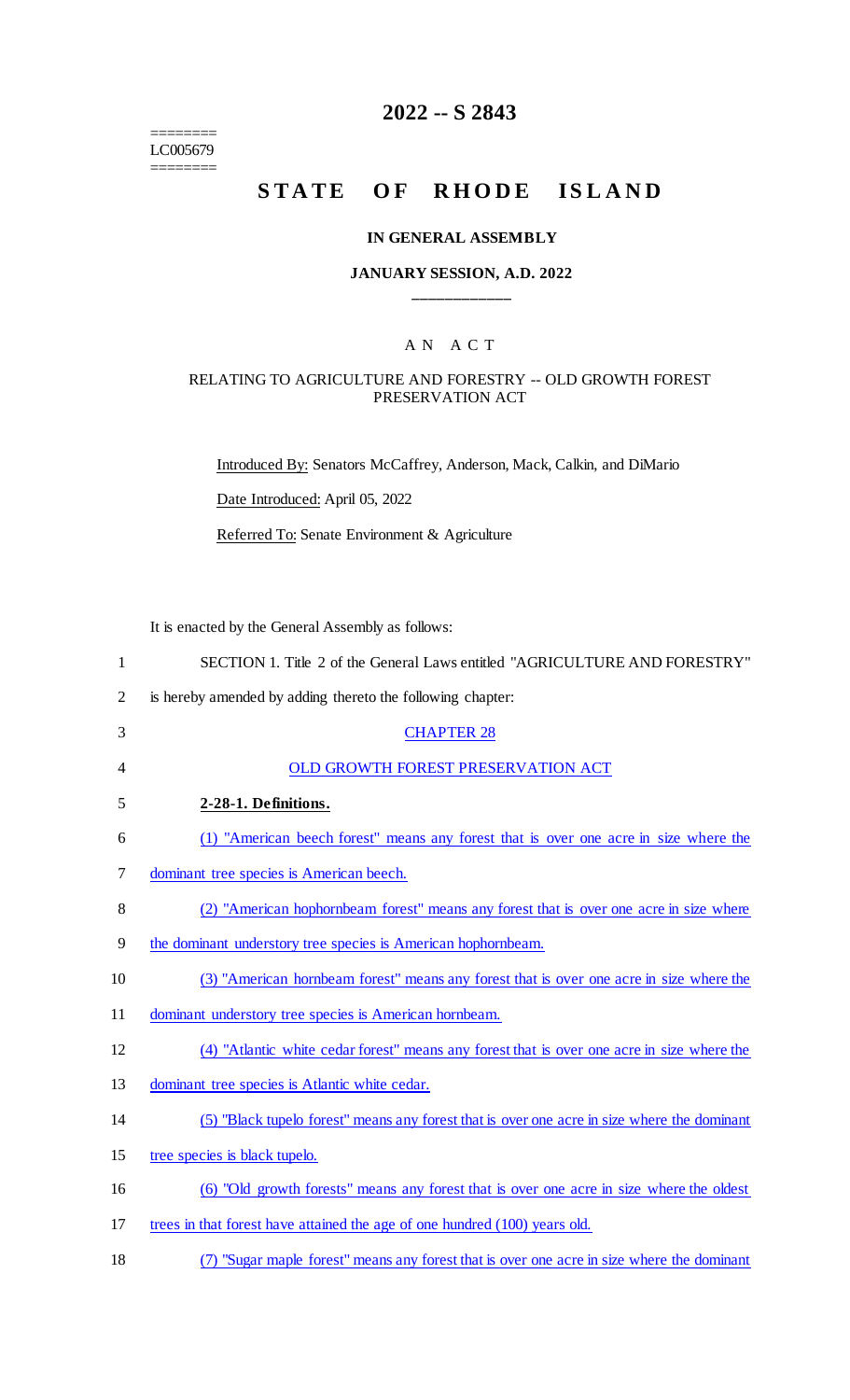======== LC005679 ========

# **2022 -- S 2843**

# **STATE OF RHODE ISLAND**

#### **IN GENERAL ASSEMBLY**

# **JANUARY SESSION, A.D. 2022 \_\_\_\_\_\_\_\_\_\_\_\_**

# A N A C T

#### RELATING TO AGRICULTURE AND FORESTRY -- OLD GROWTH FOREST PRESERVATION ACT

Introduced By: Senators McCaffrey, Anderson, Mack, Calkin, and DiMario

Date Introduced: April 05, 2022

Referred To: Senate Environment & Agriculture

It is enacted by the General Assembly as follows:

| $\mathbf{1}$   | SECTION 1. Title 2 of the General Laws entitled "AGRICULTURE AND FORESTRY"                  |
|----------------|---------------------------------------------------------------------------------------------|
| $\overline{2}$ | is hereby amended by adding thereto the following chapter:                                  |
| 3              | <b>CHAPTER 28</b>                                                                           |
| 4              | OLD GROWTH FOREST PRESERVATION ACT                                                          |
| 5              | 2-28-1. Definitions.                                                                        |
| 6              | (1) "American beech forest" means any forest that is over one acre in size where the        |
| 7              | dominant tree species is American beech.                                                    |
| 8              | (2) "American hophornbeam forest" means any forest that is over one acre in size where      |
| 9              | the dominant understory tree species is American hophornbeam.                               |
| 10             | (3) "American hornbeam forest" means any forest that is over one acre in size where the     |
| 11             | dominant understory tree species is American hornbeam.                                      |
| 12             | (4) "Atlantic white cedar forest" means any forest that is over one acre in size where the  |
| 13             | dominant tree species is Atlantic white cedar.                                              |
| 14             | (5) "Black tupelo forest" means any forest that is over one acre in size where the dominant |
| 15             | tree species is black tupelo.                                                               |
| 16             | (6) "Old growth forests" means any forest that is over one acre in size where the oldest    |
| 17             | trees in that forest have attained the age of one hundred (100) years old.                  |
|                |                                                                                             |

18 (7) "Sugar maple forest" means any forest that is over one acre in size where the dominant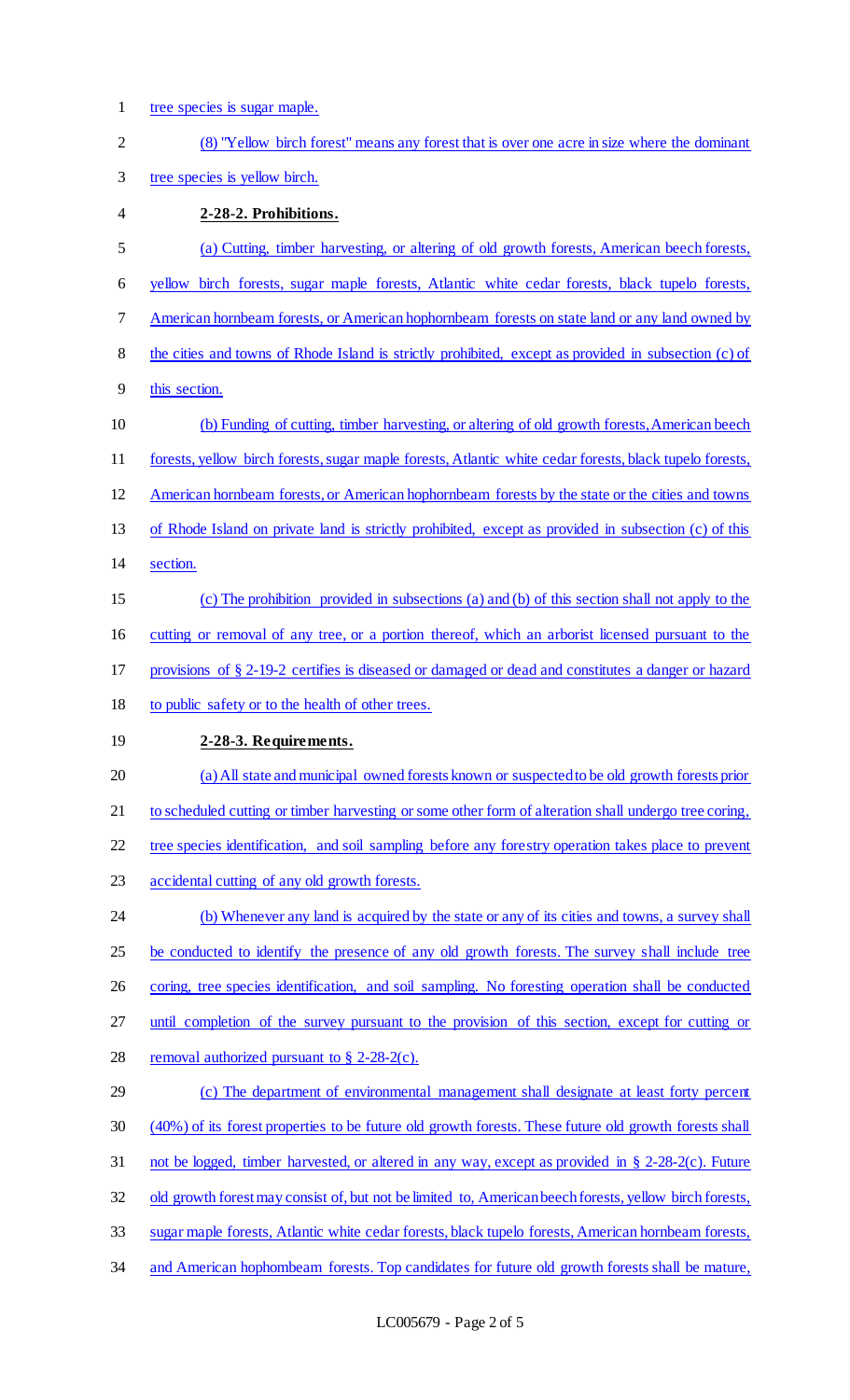tree species is sugar maple. (8) "Yellow birch forest" means any forest that is over one acre in size where the dominant tree species is yellow birch. **2-28-2. Prohibitions.**  (a) Cutting, timber harvesting, or altering of old growth forests, American beech forests, yellow birch forests, sugar maple forests, Atlantic white cedar forests, black tupelo forests, American hornbeam forests, or American hophornbeam forests on state land or any land owned by the cities and towns of Rhode Island is strictly prohibited, except as provided in subsection (c) of this section. (b) Funding of cutting, timber harvesting, or altering of old growth forests, American beech forests, yellow birch forests, sugar maple forests, Atlantic white cedar forests, black tupelo forests, American hornbeam forests, or American hophornbeam forests by the state or the cities and towns of Rhode Island on private land is strictly prohibited, except as provided in subsection (c) of this section. (c) The prohibition provided in subsections (a) and (b) of this section shall not apply to the cutting or removal of any tree, or a portion thereof, which an arborist licensed pursuant to the provisions of § 2-19-2 certifies is diseased or damaged or dead and constitutes a danger or hazard to public safety or to the health of other trees. **2-28-3. Requirements.**  (a) All state and municipal owned forests known or suspected to be old growth forests prior 21 to scheduled cutting or timber harvesting or some other form of alteration shall undergo tree coring, tree species identification, and soil sampling before any forestry operation takes place to prevent accidental cutting of any old growth forests. 24 (b) Whenever any land is acquired by the state or any of its cities and towns, a survey shall 25 be conducted to identify the presence of any old growth forests. The survey shall include tree 26 coring, tree species identification, and soil sampling. No foresting operation shall be conducted until completion of the survey pursuant to the provision of this section, except for cutting or 28 removal authorized pursuant to  $\S$  2-28-2(c). (c) The department of environmental management shall designate at least forty percent (40%) of its forest properties to be future old growth forests. These future old growth forests shall 31 not be logged, timber harvested, or altered in any way, except as provided in § 2-28-2(c). Future 32 old growth forest may consist of, but not be limited to, American beech forests, yellow birch forests, sugar maple forests, Atlantic white cedar forests, black tupelo forests, American hornbeam forests, 34 and American hophombeam forests. Top candidates for future old growth forests shall be mature,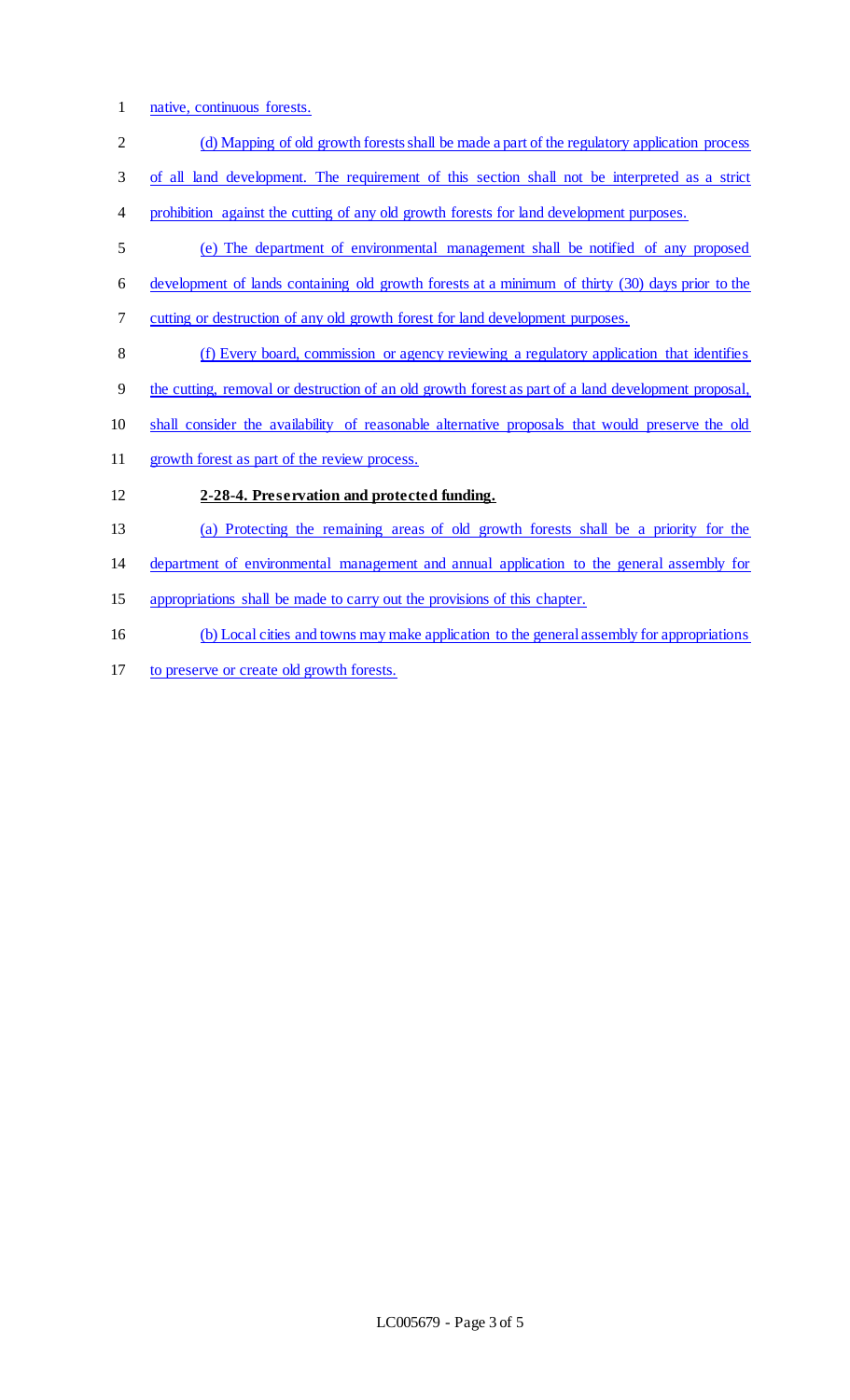- native, continuous forests.
- 2 (d) Mapping of old growth forests shall be made a part of the regulatory application process
- of all land development. The requirement of this section shall not be interpreted as a strict
- prohibition against the cutting of any old growth forests for land development purposes.
- (e) The department of environmental management shall be notified of any proposed development of lands containing old growth forests at a minimum of thirty (30) days prior to the
- cutting or destruction of any old growth forest for land development purposes.
- (f) Every board, commission or agency reviewing a regulatory application that identifies
- the cutting, removal or destruction of an old growth forest as part of a land development proposal,
- shall consider the availability of reasonable alternative proposals that would preserve the old
- growth forest as part of the review process.
- **2-28-4. Preservation and protected funding.**
- (a) Protecting the remaining areas of old growth forests shall be a priority for the

department of environmental management and annual application to the general assembly for

- appropriations shall be made to carry out the provisions of this chapter.
- (b) Local cities and towns may make application to the general assembly for appropriations
- to preserve or create old growth forests.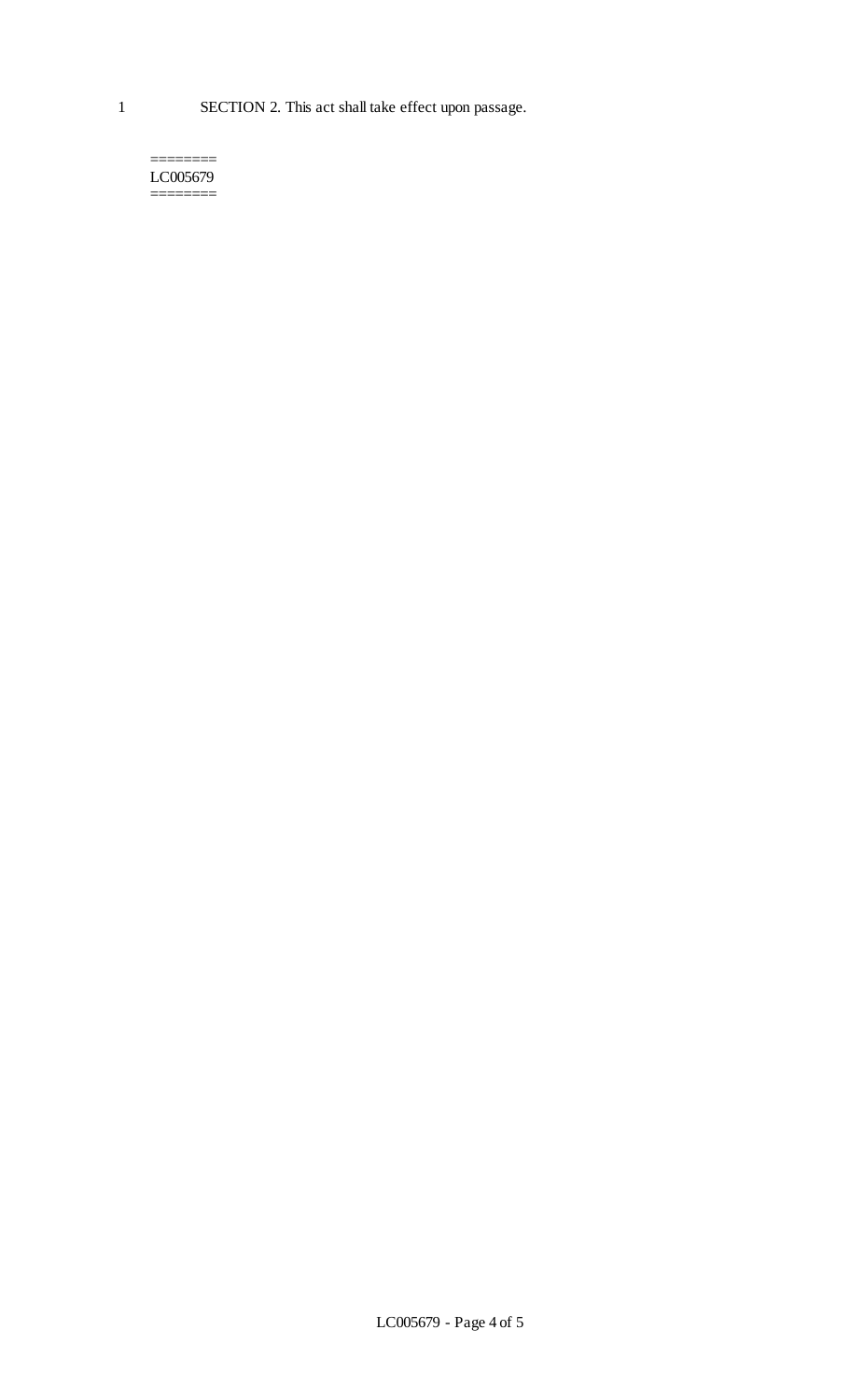======== LC005679 ========